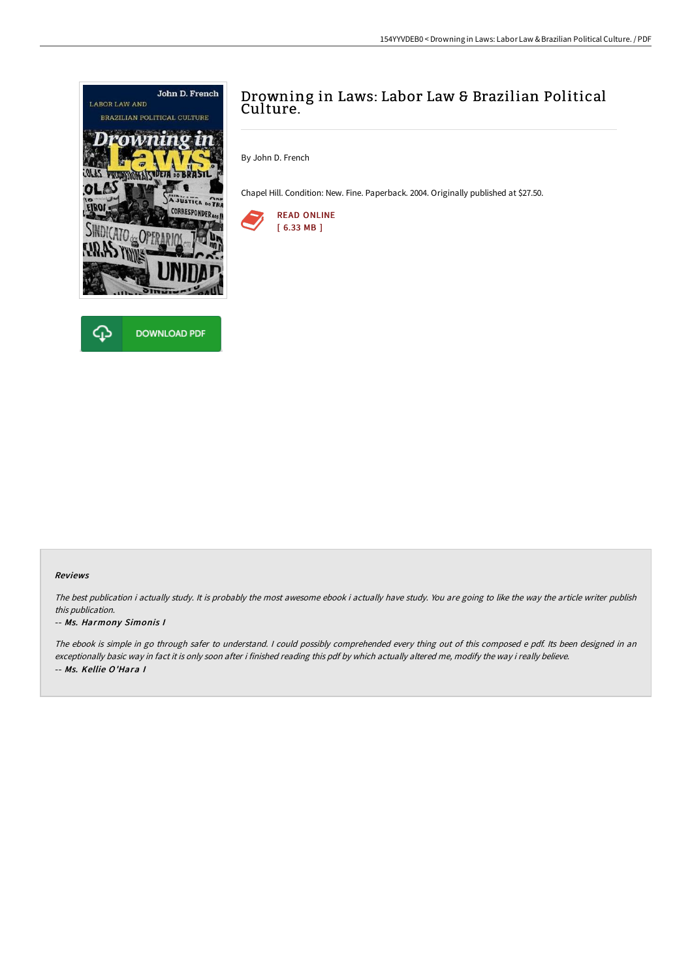



## Drowning in Laws: Labor Law & Brazilian Political Culture.

By John D. French

Chapel Hill. Condition: New. Fine. Paperback. 2004. Originally published at \$27.50.



## Reviews

The best publication i actually study. It is probably the most awesome ebook i actually have study. You are going to like the way the article writer publish this publication.

## -- Ms. Harmony Simonis I

The ebook is simple in go through safer to understand. <sup>I</sup> could possibly comprehended every thing out of this composed <sup>e</sup> pdf. Its been designed in an exceptionally basic way in fact it is only soon after i finished reading this pdf by which actually altered me, modify the way i really believe. -- Ms. Kellie O'Hara I